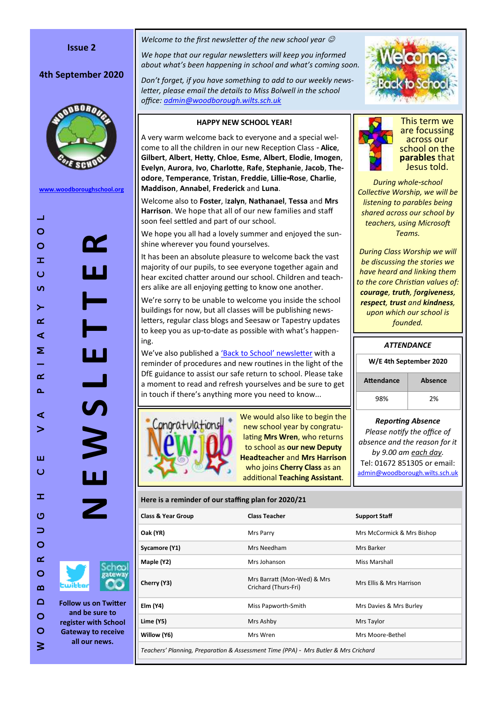## **Issue 2**

# **4th September 2020**



**[www.woodboroughschool.org](https://woodboroughschool.org/)**

W O O D B O R O U G H C E V A P R I M A R Y S C H O O L  $\pm 1$  $\circ$ **N E W S L E T T E R** Y  $\circ$  $\pm$  $\circ$  $\omega$  $\geq$  $\alpha$  $\overline{\phantom{0}}$  $\triangleleft$ Щ Σ  $\overline{\phantom{0}}$  $\alpha$  $\Delta$  $\boldsymbol{\eta}$  $\triangleleft$  $\geq$ ш  $\circ$  $\pm$  $\circ$  $\Rightarrow$  $\circ$  $\propto$  $\circ$  $\boldsymbol{\underline{\infty}}$  $\Box$ **Follow us on Twitter and be sure to**   $\circ$ **register with School**   $\circ$ **Gateway to receive** 

**all our news.**

 $\geq$ 

*Welcome to the first newsletter of the new school year* 

*We hope that our regular newsletters will keep you informed about what 's been happening in school and what 's coming soon.*

*Don 't forget, if you have something to add to our weekly newsletter, please email the details to Miss Bolwell in the school office: [admin@woodborough.wilts.sch.uk](mailto:admin@woodborough.wilts.sch.uk)*

### **HAPPY NEW SCHOOL YEAR!**

A very warm welcome back to everyone and a special welcome to all the children in our new Reception Class - **Alice**, **Gilbert**, **Albert**, **Hetty**, **Chloe**, **Esme**, **Albert**, **Elodie**, **Imogen**, **Evelyn**, **Aurora**, **Ivo**, **Charlotte**, **Rafe**, **Stephanie**, **Jacob**, **The odore**, **Temperance**, **Tristan**, **Freddie**, **Lillie-Rose**, **Charlie**, **Maddison**, **Annabel**, **Frederick** and **Luna** .

Welcome also to **Foster**, I**zalyn**, **Nathanael**, **Tessa** and **Mrs Harrison**. We hope that all of our new families and staff soon feel settled and part of our school.

We hope you all had a lovely summer and enjoyed the sunshine wherever you found yourselves.

It has been an absolute pleasure to welcome back the vast majority of our pupils, to see everyone together again and hear excited chatter around our school. Children and teachers alike are all enjoying getting to know one another.

We 're sorry to be unable to welcome you inside the school buildings for now, but all classes will be publishing newsletters, regular class blogs and Seesaw or Tapestry updates to keep you as up-to-date as possible with what's happening.

We've also published a **['Back to School' newsletter](https://woodboroughschool.org/wp-content/uploads/2020/09/Back-to-School-Newsletter-September-2020.pdf)** with a reminder of procedures and new routines in the light of the DfE guidance to assist our safe return to school. Please take a moment to read and refresh yourselves and be sure to get in touch if there 's anything more you need to know...



We would also like to begin the new school year by congratulating **Mrs Wren**, who returns to school as **our new Deputy Headteacher** and **Mrs Harrison**  who joins **Cherry Class** as an additional **Teaching Assistant** .





This term we are focussing across our school on the **parables** that Jesus told.

*During whole -school Collective Worship, we will be listening to parables being shared across our school by teachers, using Microsoft Teams.* 

*During Class Worship we will be discussing the stories we have heard and linking them to the core Christian values of: courage, truth, forgiveness, respect, trust and kindness, upon which our school is founded.*

| W/E 4th September 2020 |         |  |  |
|------------------------|---------|--|--|
| <b>Attendance</b>      | Absence |  |  |
| 98%                    | 2%      |  |  |

*Reporting Absence Please notify the office of absence and the reason for it by 9.00 am each day.*  Tel: 01672 851305 or email: [admin@woodborough.wilts.sch.uk](mailto:admin@woodborough.wilts.sch.uk)

#### **Here is a reminder of our staffing plan for 2020/21**

| <b>Class &amp; Year Group</b>                                                       | <b>Class Teacher</b>                                | <b>Support Staff</b>     |  |  |
|-------------------------------------------------------------------------------------|-----------------------------------------------------|--------------------------|--|--|
| Oak (YR)                                                                            | Mrs McCormick & Mrs Bishop<br>Mrs Parry             |                          |  |  |
| Sycamore (Y1)                                                                       | Mrs Needham                                         | Mrs Barker               |  |  |
| Maple (Y2)                                                                          | Mrs Johanson                                        | Miss Marshall            |  |  |
| Cherry (Y3)                                                                         | Mrs Barratt (Mon-Wed) & Mrs<br>Crichard (Thurs-Fri) | Mrs Ellis & Mrs Harrison |  |  |
| Elm (Y4)                                                                            | Miss Papworth-Smith                                 | Mrs Davies & Mrs Burley  |  |  |
| Lime (Y5)                                                                           | Mrs Ashby                                           | Mrs Taylor               |  |  |
| Willow (Y6)                                                                         | Mrs Wren                                            | Mrs Moore-Bethel         |  |  |
| Teachers' Planning, Preparation & Assessment Time (PPA) - Mrs Butler & Mrs Crichard |                                                     |                          |  |  |